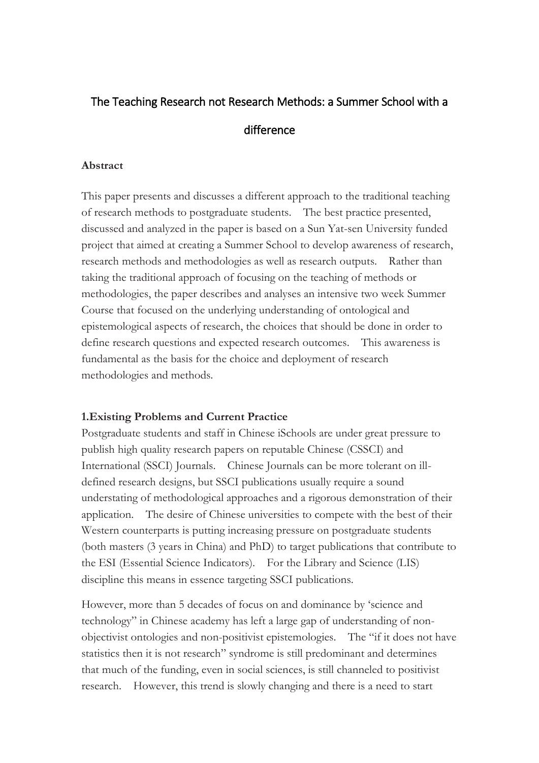# The Teaching Research not Research Methods: a Summer School with a difference

#### **Abstract**

This paper presents and discusses a different approach to the traditional teaching of research methods to postgraduate students. The best practice presented, discussed and analyzed in the paper is based on a Sun Yat-sen University funded project that aimed at creating a Summer School to develop awareness of research, research methods and methodologies as well as research outputs. Rather than taking the traditional approach of focusing on the teaching of methods or methodologies, the paper describes and analyses an intensive two week Summer Course that focused on the underlying understanding of ontological and epistemological aspects of research, the choices that should be done in order to define research questions and expected research outcomes. This awareness is fundamental as the basis for the choice and deployment of research methodologies and methods.

### **1.Existing Problems and Current Practice**

Postgraduate students and staff in Chinese iSchools are under great pressure to publish high quality research papers on reputable Chinese (CSSCI) and International (SSCI) Journals. Chinese Journals can be more tolerant on illdefined research designs, but SSCI publications usually require a sound understating of methodological approaches and a rigorous demonstration of their application. The desire of Chinese universities to compete with the best of their Western counterparts is putting increasing pressure on postgraduate students (both masters (3 years in China) and PhD) to target publications that contribute to the ESI (Essential Science Indicators). For the Library and Science (LIS) discipline this means in essence targeting SSCI publications.

However, more than 5 decades of focus on and dominance by 'science and technology" in Chinese academy has left a large gap of understanding of nonobjectivist ontologies and non-positivist epistemologies. The "if it does not have statistics then it is not research" syndrome is still predominant and determines that much of the funding, even in social sciences, is still channeled to positivist research. However, this trend is slowly changing and there is a need to start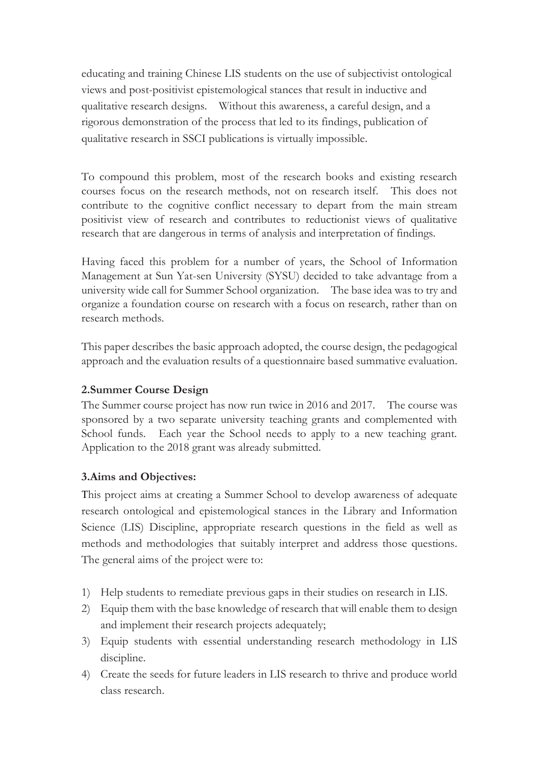educating and training Chinese LIS students on the use of subjectivist ontological views and post-positivist epistemological stances that result in inductive and qualitative research designs. Without this awareness, a careful design, and a rigorous demonstration of the process that led to its findings, publication of qualitative research in SSCI publications is virtually impossible.

To compound this problem, most of the research books and existing research courses focus on the research methods, not on research itself. This does not contribute to the cognitive conflict necessary to depart from the main stream positivist view of research and contributes to reductionist views of qualitative research that are dangerous in terms of analysis and interpretation of findings.

Having faced this problem for a number of years, the School of Information Management at Sun Yat-sen University (SYSU) decided to take advantage from a university wide call for Summer School organization. The base idea was to try and organize a foundation course on research with a focus on research, rather than on research methods.

This paper describes the basic approach adopted, the course design, the pedagogical approach and the evaluation results of a questionnaire based summative evaluation.

### **2.Summer Course Design**

The Summer course project has now run twice in 2016 and 2017. The course was sponsored by a two separate university teaching grants and complemented with School funds. Each year the School needs to apply to a new teaching grant. Application to the 2018 grant was already submitted.

### **3.Aims and Objectives:**

This project aims at creating a Summer School to develop awareness of adequate research ontological and epistemological stances in the Library and Information Science (LIS) Discipline, appropriate research questions in the field as well as methods and methodologies that suitably interpret and address those questions. The general aims of the project were to:

- 1) Help students to remediate previous gaps in their studies on research in LIS.
- 2) Equip them with the base knowledge of research that will enable them to design and implement their research projects adequately;
- 3) Equip students with essential understanding research methodology in LIS discipline.
- 4) Create the seeds for future leaders in LIS research to thrive and produce world class research.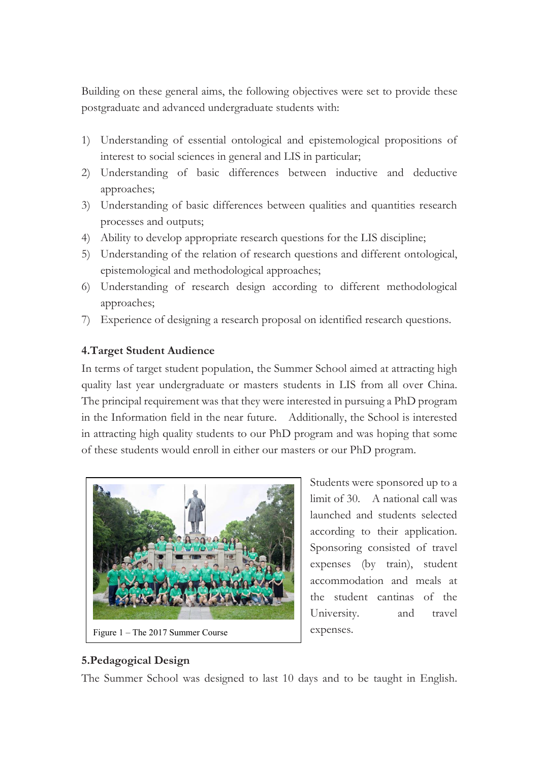Building on these general aims, the following objectives were set to provide these postgraduate and advanced undergraduate students with:

- 1) Understanding of essential ontological and epistemological propositions of interest to social sciences in general and LIS in particular;
- 2) Understanding of basic differences between inductive and deductive approaches;
- 3) Understanding of basic differences between qualities and quantities research processes and outputs;
- 4) Ability to develop appropriate research questions for the LIS discipline;
- 5) Understanding of the relation of research questions and different ontological, epistemological and methodological approaches;
- 6) Understanding of research design according to different methodological approaches;
- 7) Experience of designing a research proposal on identified research questions.

## **4.Target Student Audience**

In terms of target student population, the Summer School aimed at attracting high quality last year undergraduate or masters students in LIS from all over China. The principal requirement was that they were interested in pursuing a PhD program in the Information field in the near future. Additionally, the School is interested in attracting high quality students to our PhD program and was hoping that some of these students would enroll in either our masters or our PhD program.



Students were sponsored up to a limit of 30. A national call was launched and students selected according to their application. Sponsoring consisted of travel expenses (by train), student accommodation and meals at the student cantinas of the University. and travel expenses.

## **5.Pedagogical Design**

The Summer School was designed to last 10 days and to be taught in English.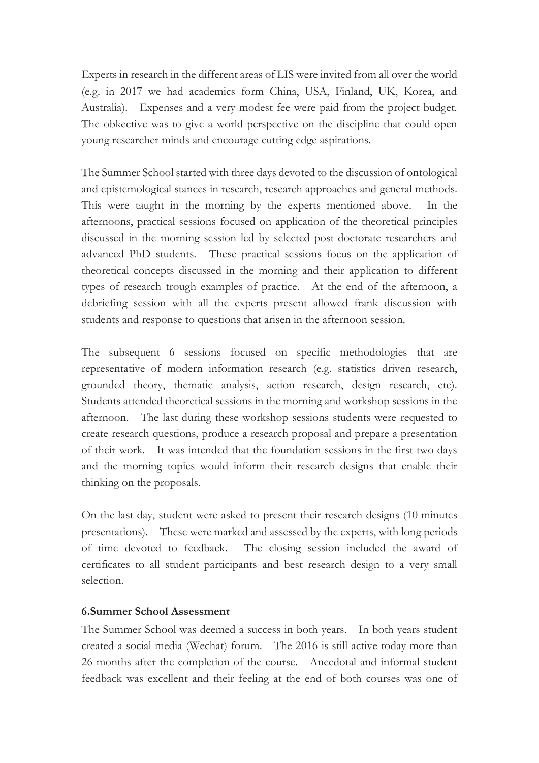Experts in research in the different areas of LIS were invited from all over the world (e.g. in 2017 we had academics form China, USA, Finland, UK, Korea, and Australia). Expenses and a very modest fee were paid from the project budget. The obkective was to give a world perspective on the discipline that could open young researcher minds and encourage cutting edge aspirations.

The Summer School started with three days devoted to the discussion of ontological and epistemological stances in research, research approaches and general methods. This were taught in the morning by the experts mentioned above. In the afternoons, practical sessions focused on application of the theoretical principles discussed in the morning session led by selected post-doctorate researchers and advanced PhD students. These practical sessions focus on the application of theoretical concepts discussed in the morning and their application to different types of research trough examples of practice. At the end of the afternoon, a debriefing session with all the experts present allowed frank discussion with students and response to questions that arisen in the afternoon session.

The subsequent 6 sessions focused on specific methodologies that are representative of modern information research (e.g. statistics driven research, grounded theory, thematic analysis, action research, design research, etc). Students attended theoretical sessions in the morning and workshop sessions in the afternoon. The last during these workshop sessions students were requested to create research questions, produce a research proposal and prepare a presentation of their work. It was intended that the foundation sessions in the first two days and the morning topics would inform their research designs that enable their thinking on the proposals.

On the last day, student were asked to present their research designs (10 minutes presentations). These were marked and assessed by the experts, with long periods of time devoted to feedback. The closing session included the award of certificates to all student participants and best research design to a very small selection.

#### **6.Summer School Assessment**

The Summer School was deemed a success in both years. In both years student created a social media (Wechat) forum. The 2016 is still active today more than 26 months after the completion of the course. Anecdotal and informal student feedback was excellent and their feeling at the end of both courses was one of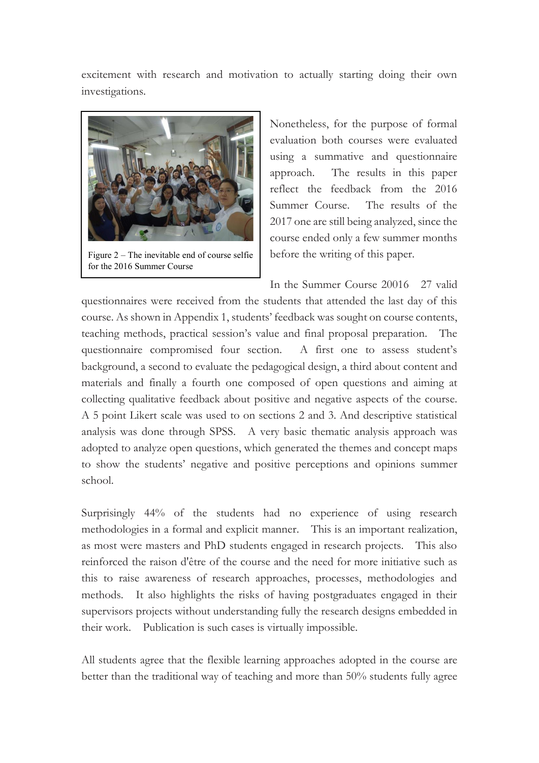excitement with research and motivation to actually starting doing their own investigations.



Figure 2 – The inevitable end of course selfie for the 2016 Summer Course

Nonetheless, for the purpose of formal evaluation both courses were evaluated using a summative and questionnaire approach. The results in this paper reflect the feedback from the 2016 Summer Course. The results of the 2017 one are still being analyzed, since the course ended only a few summer months before the writing of this paper.

In the Summer Course 20016 27 valid

questionnaires were received from the students that attended the last day of this course. As shown in Appendix 1, students' feedback was sought on course contents, teaching methods, practical session's value and final proposal preparation. The questionnaire compromised four section. A first one to assess student's background, a second to evaluate the pedagogical design, a third about content and materials and finally a fourth one composed of open questions and aiming at collecting qualitative feedback about positive and negative aspects of the course. A 5 point Likert scale was used to on sections 2 and 3. And descriptive statistical analysis was done through SPSS. A very basic thematic analysis approach was adopted to analyze open questions, which generated the themes and concept maps to show the students' negative and positive perceptions and opinions summer school.

Surprisingly 44% of the students had no experience of using research methodologies in a formal and explicit manner. This is an important realization, as most were masters and PhD students engaged in research projects. This also reinforced the raison d'être of the course and the need for more initiative such as this to raise awareness of research approaches, processes, methodologies and methods. It also highlights the risks of having postgraduates engaged in their supervisors projects without understanding fully the research designs embedded in their work. Publication is such cases is virtually impossible.

All students agree that the flexible learning approaches adopted in the course are better than the traditional way of teaching and more than 50% students fully agree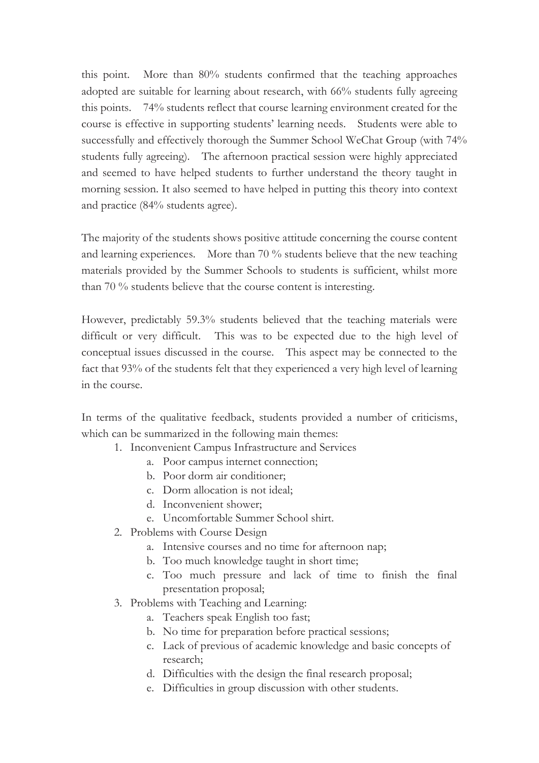this point. More than 80% students confirmed that the teaching approaches adopted are suitable for learning about research, with 66% students fully agreeing this points. 74% students reflect that course learning environment created for the course is effective in supporting students' learning needs. Students were able to successfully and effectively thorough the Summer School WeChat Group (with 74% students fully agreeing). The afternoon practical session were highly appreciated and seemed to have helped students to further understand the theory taught in morning session. It also seemed to have helped in putting this theory into context and practice (84% students agree).

The majority of the students shows positive attitude concerning the course content and learning experiences. More than 70 % students believe that the new teaching materials provided by the Summer Schools to students is sufficient, whilst more than 70 % students believe that the course content is interesting.

However, predictably 59.3% students believed that the teaching materials were difficult or very difficult. This was to be expected due to the high level of conceptual issues discussed in the course. This aspect may be connected to the fact that 93% of the students felt that they experienced a very high level of learning in the course.

In terms of the qualitative feedback, students provided a number of criticisms, which can be summarized in the following main themes:

- 1. Inconvenient Campus Infrastructure and Services
	- a. Poor campus internet connection;
	- b. Poor dorm air conditioner;
	- c. Dorm allocation is not ideal;
	- d. Inconvenient shower;
	- e. Uncomfortable Summer School shirt.
- 2. Problems with Course Design
	- a. Intensive courses and no time for afternoon nap;
	- b. Too much knowledge taught in short time;
	- c. Too much pressure and lack of time to finish the final presentation proposal;
- 3. Problems with Teaching and Learning:
	- a. Teachers speak English too fast;
	- b. No time for preparation before practical sessions;
	- c. Lack of previous of academic knowledge and basic concepts of research;
	- d. Difficulties with the design the final research proposal;
	- e. Difficulties in group discussion with other students.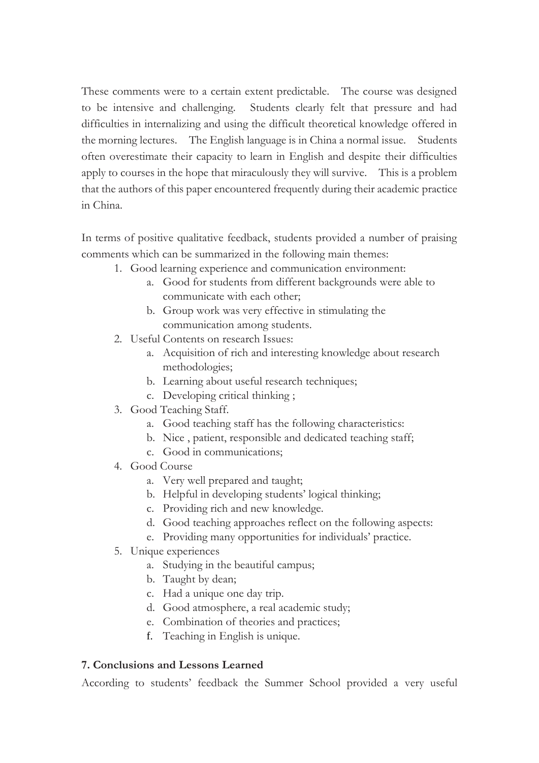These comments were to a certain extent predictable. The course was designed to be intensive and challenging. Students clearly felt that pressure and had difficulties in internalizing and using the difficult theoretical knowledge offered in the morning lectures. The English language is in China a normal issue. Students often overestimate their capacity to learn in English and despite their difficulties apply to courses in the hope that miraculously they will survive. This is a problem that the authors of this paper encountered frequently during their academic practice in China.

In terms of positive qualitative feedback, students provided a number of praising comments which can be summarized in the following main themes:

- 1. Good learning experience and communication environment:
	- a. Good for students from different backgrounds were able to communicate with each other;
	- b. Group work was very effective in stimulating the communication among students.
- 2. Useful Contents on research Issues:
	- a. Acquisition of rich and interesting knowledge about research methodologies;
	- b. Learning about useful research techniques;
	- c. Developing critical thinking ;
- 3. Good Teaching Staff.
	- a. Good teaching staff has the following characteristics:
	- b. Nice , patient, responsible and dedicated teaching staff;
	- c. Good in communications;
- 4. Good Course
	- a. Very well prepared and taught;
	- b. Helpful in developing students' logical thinking;
	- c. Providing rich and new knowledge.
	- d. Good teaching approaches reflect on the following aspects:
	- e. Providing many opportunities for individuals' practice.
- 5. Unique experiences
	- a. Studying in the beautiful campus;
	- b. Taught by dean;
	- c. Had a unique one day trip.
	- d. Good atmosphere, a real academic study;
	- e. Combination of theories and practices;
	- f. Teaching in English is unique.

#### **7. Conclusions and Lessons Learned**

According to students' feedback the Summer School provided a very useful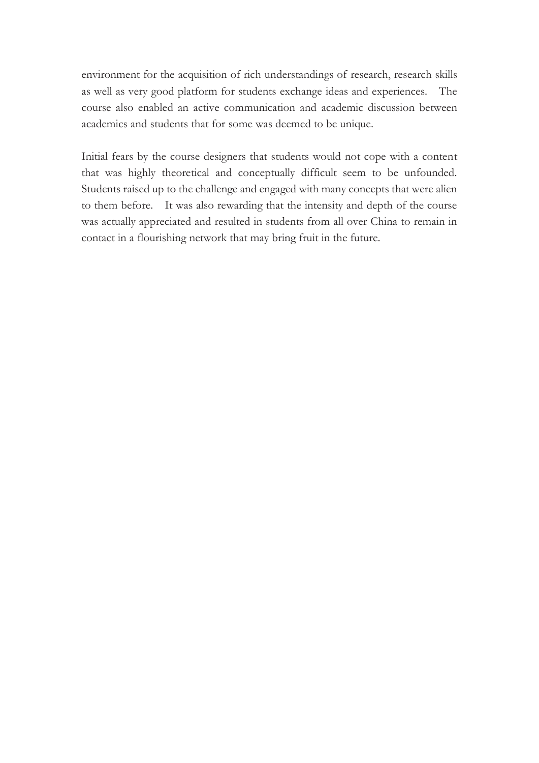environment for the acquisition of rich understandings of research, research skills as well as very good platform for students exchange ideas and experiences. The course also enabled an active communication and academic discussion between academics and students that for some was deemed to be unique.

Initial fears by the course designers that students would not cope with a content that was highly theoretical and conceptually difficult seem to be unfounded. Students raised up to the challenge and engaged with many concepts that were alien to them before. It was also rewarding that the intensity and depth of the course was actually appreciated and resulted in students from all over China to remain in contact in a flourishing network that may bring fruit in the future.